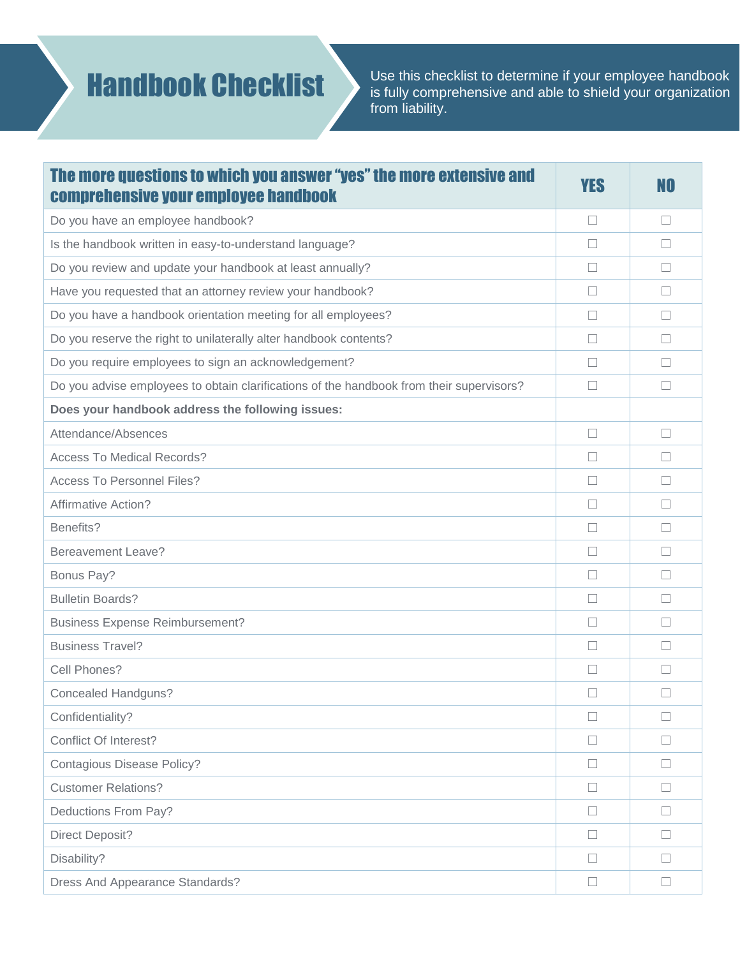## Handbook Checklist

Use this checklist to determine if your employee handbook is fully comprehensive and able to shield your organization from liability.

| The more questions to which you answer "yes" the more extensive and<br><b>comprehensive your employee handbook</b> | YES               | NO     |
|--------------------------------------------------------------------------------------------------------------------|-------------------|--------|
| Do you have an employee handbook?                                                                                  | $\Box$            | $\Box$ |
| Is the handbook written in easy-to-understand language?                                                            | $\Box$            | $\Box$ |
| Do you review and update your handbook at least annually?                                                          | $\Box$            | $\Box$ |
| Have you requested that an attorney review your handbook?                                                          | П                 | $\Box$ |
| Do you have a handbook orientation meeting for all employees?                                                      | $\Box$            | П      |
| Do you reserve the right to unilaterally alter handbook contents?                                                  | П                 | П      |
| Do you require employees to sign an acknowledgement?                                                               | $\Box$            |        |
| Do you advise employees to obtain clarifications of the handbook from their supervisors?                           | П                 | $\Box$ |
| Does your handbook address the following issues:                                                                   |                   |        |
| Attendance/Absences                                                                                                | $\Box$            | $\Box$ |
| <b>Access To Medical Records?</b>                                                                                  | $\Box$            | $\Box$ |
| <b>Access To Personnel Files?</b>                                                                                  | П                 | П      |
| <b>Affirmative Action?</b>                                                                                         | $\vert \ \ \vert$ |        |
| Benefits?                                                                                                          | П                 | П      |
| <b>Bereavement Leave?</b>                                                                                          | $\Box$            |        |
| Bonus Pay?                                                                                                         | П                 | П      |
| <b>Bulletin Boards?</b>                                                                                            | $\Box$            | $\Box$ |
| <b>Business Expense Reimbursement?</b>                                                                             | П                 | П      |
| <b>Business Travel?</b>                                                                                            | $\Box$            | $\Box$ |
| Cell Phones?                                                                                                       | П                 | П      |
| <b>Concealed Handguns?</b>                                                                                         | $\Box$            |        |
| Confidentiality?                                                                                                   | $\Box$            | $\Box$ |
| Conflict Of Interest?                                                                                              | $\Box$            | $\Box$ |
| <b>Contagious Disease Policy?</b>                                                                                  | $\Box$            | $\Box$ |
| <b>Customer Relations?</b>                                                                                         | $\sqcup$          | ш      |
| Deductions From Pay?                                                                                               | $\Box$            | $\Box$ |
| <b>Direct Deposit?</b>                                                                                             | $\Box$            | $\Box$ |
| Disability?                                                                                                        | $\Box$            |        |
| Dress And Appearance Standards?                                                                                    | $\Box$            |        |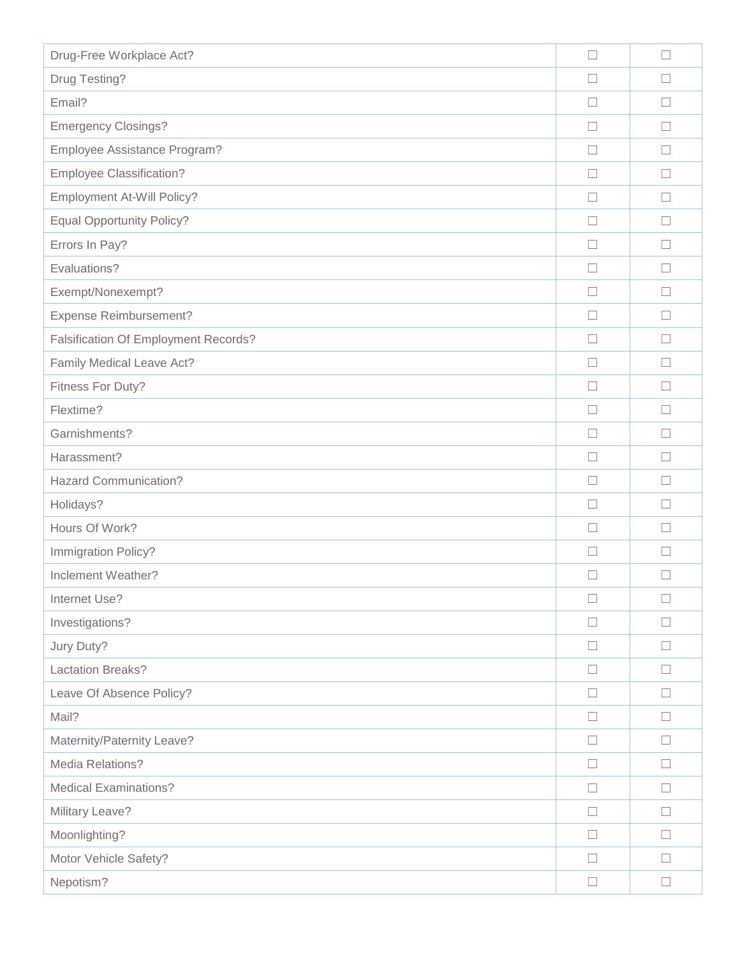| Drug-Free Workplace Act?                    | $\Box$ | $\Box$   |
|---------------------------------------------|--------|----------|
| Drug Testing?                               |        |          |
| Email?                                      | $\Box$ | $\Box$   |
| <b>Emergency Closings?</b>                  | П      |          |
| Employee Assistance Program?                | $\Box$ | $\Box$   |
| <b>Employee Classification?</b>             | $\Box$ | П        |
| Employment At-Will Policy?                  | $\Box$ | П        |
| <b>Equal Opportunity Policy?</b>            | $\Box$ | $\Box$   |
| Errors In Pay?                              | $\Box$ | $\Box$   |
| Evaluations?                                | $\Box$ |          |
| Exempt/Nonexempt?                           | $\Box$ | $\Box$   |
| <b>Expense Reimbursement?</b>               | $\Box$ |          |
| <b>Falsification Of Employment Records?</b> | П      | П        |
| Family Medical Leave Act?                   | П      | ш        |
| Fitness For Duty?                           | П      | П        |
| Flextime?                                   | $\Box$ | $\Box$   |
| Garnishments?                               | $\Box$ | П        |
| Harassment?                                 | ш      | $\Box$   |
| <b>Hazard Communication?</b>                | $\Box$ | $\Box$   |
| Holidays?                                   | $\Box$ | $\Box$   |
| Hours Of Work?                              | $\Box$ | П        |
| Immigration Policy?                         | $\Box$ | ш        |
| Inclement Weather?                          | $\Box$ |          |
| Internet Use?                               | $\Box$ | $\Box$   |
| Investigations?                             | $\Box$ |          |
| Jury Duty?                                  | $\Box$ | $\sqcup$ |
| Lactation Breaks?                           | $\Box$ | П        |
| Leave Of Absence Policy?                    | $\Box$ | $\Box$   |
| Mail?                                       | $\Box$ | $\Box$   |
| Maternity/Paternity Leave?                  | $\Box$ | ш        |
| Media Relations?                            | $\Box$ | $\Box$   |
| <b>Medical Examinations?</b>                | $\Box$ | $\Box$   |
| Military Leave?                             | $\Box$ | ш        |
| Moonlighting?                               | $\Box$ | $\Box$   |
| Motor Vehicle Safety?                       | $\Box$ | П        |
| Nepotism?                                   | $\Box$ | $\Box$   |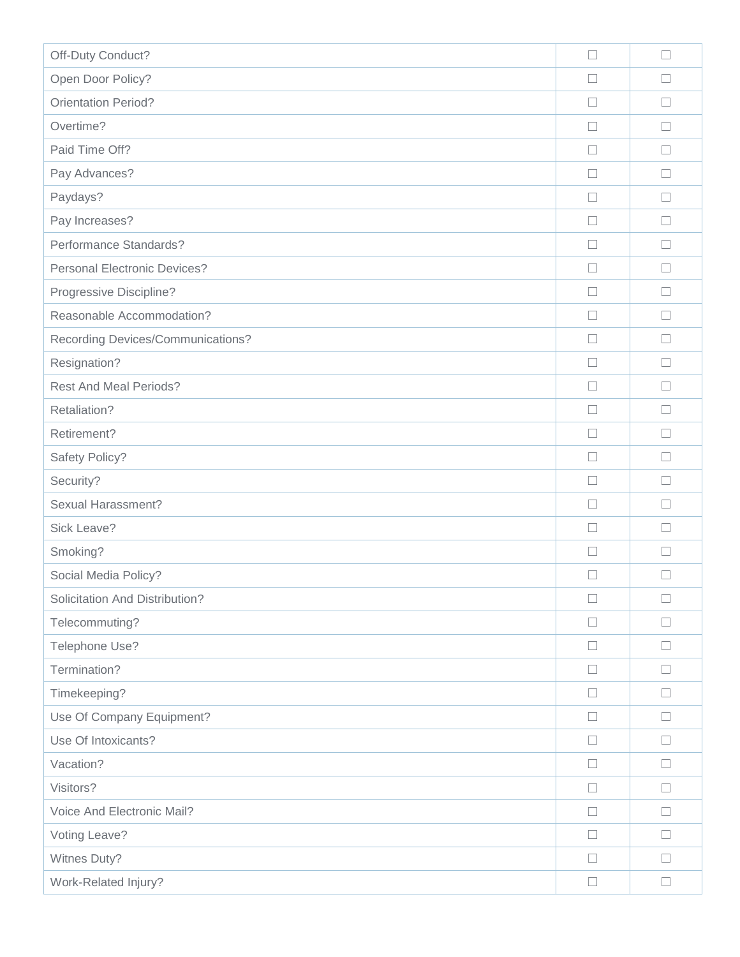| Off-Duty Conduct?                   | $\Box$ | $\Box$ |
|-------------------------------------|--------|--------|
| Open Door Policy?                   |        |        |
| <b>Orientation Period?</b>          | $\Box$ | $\Box$ |
| Overtime?                           | П      | $\Box$ |
| Paid Time Off?                      | $\Box$ | $\Box$ |
| Pay Advances?                       | $\Box$ | $\Box$ |
| Paydays?                            | $\Box$ | $\Box$ |
| Pay Increases?                      | $\Box$ | $\Box$ |
| Performance Standards?              | $\Box$ | $\Box$ |
| <b>Personal Electronic Devices?</b> | $\Box$ | $\Box$ |
| Progressive Discipline?             | $\Box$ | $\Box$ |
| Reasonable Accommodation?           | $\Box$ | $\Box$ |
| Recording Devices/Communications?   | П      | П      |
| Resignation?                        | $\Box$ | $\Box$ |
| <b>Rest And Meal Periods?</b>       | П      | П      |
| Retaliation?                        | $\Box$ | $\Box$ |
| Retirement?                         | $\Box$ | $\Box$ |
| Safety Policy?                      | $\Box$ | $\Box$ |
| Security?                           | $\Box$ | $\Box$ |
| Sexual Harassment?                  | $\Box$ | $\Box$ |
| Sick Leave?                         | П      | П      |
| Smoking?                            | $\Box$ | $\Box$ |
| Social Media Policy?                | $\Box$ | П      |
| Solicitation And Distribution?      | $\Box$ | $\Box$ |
| Telecommuting?                      | □      | П      |
| Telephone Use?                      | $\Box$ | $\Box$ |
| Termination?                        | $\Box$ | П      |
| Timekeeping?                        | $\Box$ | $\Box$ |
| Use Of Company Equipment?           | $\Box$ | $\Box$ |
| Use Of Intoxicants?                 | $\Box$ | ப      |
| Vacation?                           | $\Box$ | $\Box$ |
| Visitors?                           | $\Box$ | $\Box$ |
| Voice And Electronic Mail?          | $\Box$ | $\Box$ |
| Voting Leave?                       | $\Box$ | $\Box$ |
| Witnes Duty?                        | $\Box$ | $\Box$ |
| Work-Related Injury?                | $\Box$ | $\Box$ |